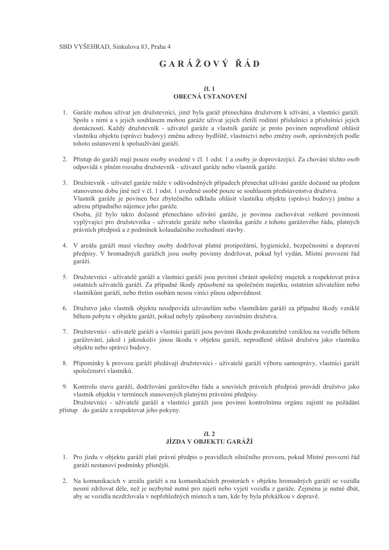# $GAR\overset{\star}{A}ZOV\overset{\star}{Y}R\overset{\star}{A}D$

#### $\check{c}$ l. 1 **OBECNÁ USTANOVENÍ**

- 1. Garáže mohou užívat jen družstevníci, jimž byla garáž přenechána družstvem k užívání, a vlastníci garáží. Spolu s nimi a s jejich souhlasem mohou garáže užívat jejich zletilí rodinní příslušníci a příslušníci jejich domácností. Každý družstevník - uživatel garáže a vlastník garáže je proto povinen neprodleně ohlásit vlastníku objektu (správci budovy) změnu adresy bydliště, vlastnictví nebo změny osob, oprávněných podle tohoto ustanovení k spoluužívání garáží.
- 2. Přístup do garáží mají pouze osoby uvedené v čl. 1 odst. 1 a osoby je doprovázející. Za chování těchto osob odpovídá v plném rozsahu družstevník - uživatel garáže nebo vlastník garáže.
- 3. Družstevník uživatel garáže může v odůvodněných případech přenechat užívání garáže dočasně na předem stanovenou dobu jiné než v čl. 1 odst. 1 uvedené osobě pouze se souhlasem představenstva družstva. Vlastník garáže je povinen bez zbytečného odkladu ohlásit vlastníku objektu (správci budovy) jméno a adresu případného nájemce jeho garáže. Osoba, jíž bylo takto dočasně přenecháno užívání garáže, je povinna zachovávat veškeré povinnosti vyplývající pro družstevníka - uživatele garáže nebo vlastníka garáže z tohoto garážového řádu, platných právních předpisů a z podmínek kolaudačního rozhodnutí stavby.
- 4. V areálu garáží musí všechny osoby dodržovat platné protipožární, hygienické, bezpečnostní a dopravní předpisy. V hromadných garážích jsou osoby povinny dodržovat, pokud byl vydán, Místní provozní řád garáží.
- 5. Družstevníci uživatelé garáží a vlastníci garáží jsou povinni chránit společný majetek a respektovat práva ostatních uživatelů garáží. Za případné škody způsobené na společném majetku, ostatním uživatelům nebo vlastníkům garáží, nebo třetím osobám nesou viníci plnou odpovědnost.
- 6. Družstvo jako vlastník objektu neodpovídá uživatelům nebo vlastníkům garáží za případné škody vzniklé během pobytu v objektu garáží, pokud nebyly způsobeny zaviněním družstva.
- 7. Družstevníci uživatelé garáží a vlastníci garáží jsou povinni škodu prokazatelně vzniklou na vozidle během garážování, jakož i jakoukoliv jinou škodu v objektu garáží, neprodleně ohlásit družstvu jako vlastníku objektu nebo správci budovy.
- 8. Připomínky k provozu garáží předávají družstevníci uživatelé garáží výboru samosprávy, vlastníci garáží společenství vlastníků.
- 9. Kontrolu stavu garáží, dodržování garážového řádu a souvisích právních předpisů provádí družstvo jako vlastník objektu v termínech stanovených platnými právními předpisy.

Družstevníci - uživatelé garáží a vlastníci garáží jsou povinni kontrolnímu orgánu zajistit na požádání přístup do garáže a respektovat jeho pokyny.

#### $\check{c}$ l. 2 JÍZDA V OBJEKTU GARÁŽÍ

- 1. Pro jízdu v objektu garáží platí právní předpis o pravidlech silničního provozu, pokud Místní provozní řád garáží nestanoví podmínky přísnější.
- 2. Na komunikacích v areálu garáží a na komunikačních prostorách v objektu hromadných garáží se vozidla nesmí zdržovat déle, než je nezbytně nutné pro zajetí nebo vyjetí vozidla z garáže. Zejména je nutné dbát, aby se vozidla nezdržovala v nepřehledných místech a tam, kde by byla překážkou v dopravě.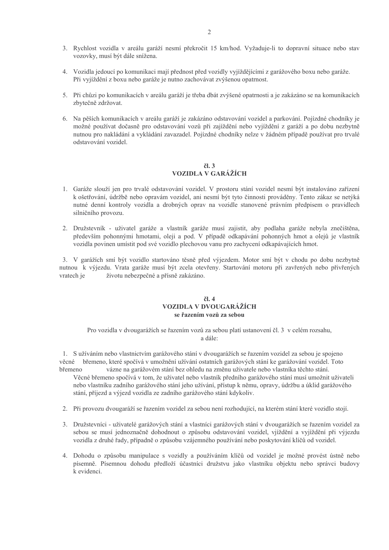- 3. Rychlost vozidla v areálu garáží nesmí překročit 15 km/hod. Vyžaduje-li to dopravní situace nebo stav vozovky, musí být dále snížena.
- 4. Vozidla jedoucí po komunikaci mají přednost před vozidly vyjíždějícími z garážového boxu nebo garáže. Při vyjíždění z boxu nebo garáže je nutno zachovávat zvýšenou opatrnost.
- 5. Při chůzi po komunikacích v areálu garáží je třeba dbát zvýšené opatrnosti a je zakázáno se na komunikacích zbytečně zdržovat.
- 6. Na pěších komunikacích v areálu garáží je zakázáno odstavování vozidel a parkování. Pojízdné chodníky je možné používat dočasně pro odstavování vozů při zajíždění nebo vyjíždění z garáží a po dobu nezbytně nutnou pro nakládání a vykládání zavazadel. Pojízdné chodníky nelze v žádném případě používat pro trvalé odstavování vozidel.

#### $\check{c}$ l. 3 **VOZIDLA V GARÁŽÍCH**

- 1. Garáže slouží jen pro trvalé odstavování vozidel. V prostoru stání vozidel nesmí být instalováno zařízení k ošetřování, údržbě nebo opravám vozidel, ani nesmí být tyto činnosti prováděny. Tento zákaz se netýká nutné denní kontroly vozidla a drobných oprav na vozidle stanovené právním předpisem o pravidlech silničního provozu.
- 2. Družstevník uživatel garáže a vlastník garáže musí zajistit, aby podlaha garáže nebyla znečištěna, především pohonnými hmotami, oleji a pod. V případě odkapávání pohonných hmot a olejů je vlastník vozidla povinen umístit pod své vozidlo plechovou vanu pro zachycení odkapávajících hmot.

3. V garážích smí být vozidlo startováno těsně před výjezdem. Motor smí být v chodu po dobu nezbytně nutnou k výjezdu. Vrata garáže musí být zcela otevřeny. Startování motoru při zavřených nebo přivřených životu nebezpečné a přísně zakázáno. vratech je

#### $\check{c}$ l. 4 VOZIDLA V DVOUGARÁŽÍCH se řazením vozů za sebou

Pro vozidla v dvougarážích se řazením vozů za sebou platí ustanovení čl. 3 v celém rozsahu, a dále:

1. S užíváním nebo vlastnictvím garážového stání v dvougarážích se řazením vozidel za sebou je spojeno věcné břemeno, které spočívá v umožnění užívání ostatních garážových stání ke garážování vozidel. Toto hřemeno vázne na garážovém stání bez ohledu na změnu uživatele nebo vlastníka těchto stání.

- Věcné břemeno spočívá v tom, že uživatel nebo vlastník předního garážového stání musí umožnit uživateli nebo vlastníku zadního garážového stání jeho užívání, přístup k němu, opravy, údržbu a úklid garážového stání, příjezd a výjezd vozidla ze zadního garážového stání kdykoliv.
- 2. Při provozu dvougaráží se řazením vozidel za sebou není rozhodující, na kterém stání které vozidlo stojí.
- 3. Družstevníci uživatelé garážových stání a vlastníci garážových stání v dvougarážích se řazením vozidel za sebou se musí jednoznačně dohodnout o způsobu odstavování vozidel, vjíždění a vyjíždění při výjezdu vozidla z druhé řady, případně o způsobu vzájemného používání nebo poskytování klíčů od vozidel.
- 4. Dohodu o způsobu manipulace s vozidly a používáním klíčů od vozidel je možné provést ústně nebo písemně. Písemnou dohodu předloží účastníci družstvu jako vlastníku objektu nebo správci budovy k evidenci.